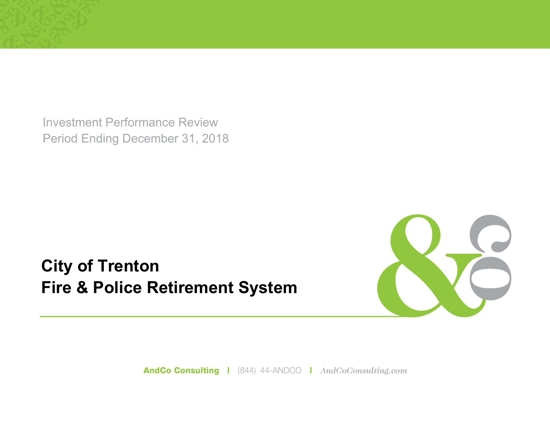Investment Performance Review Period Ending December 31, 2018

**City of Trenton Fire & Police Retirement System**



AndCo Consulting | (844) 44-ANDCO | AndCoConsulting.com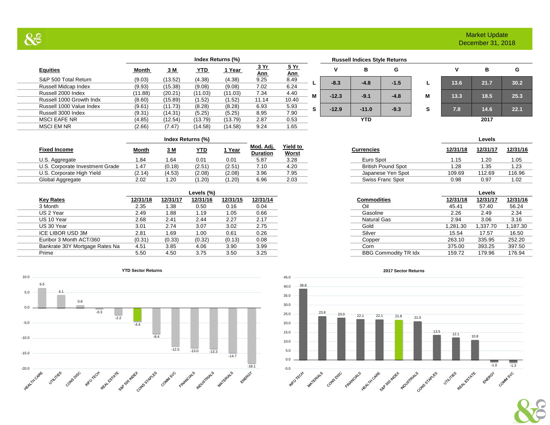# Market Update December 31, 2018

| $\sim$                   |         |         |            |                   |                    |                    |
|--------------------------|---------|---------|------------|-------------------|--------------------|--------------------|
|                          |         |         |            | Index Returns (%) |                    |                    |
| <b>Equities</b>          | Month   | 3 M     | <u>YTD</u> | <u> 1 Year</u>    | <u>3 Yr</u><br>Ann | <u>5 Yr</u><br>Ann |
| S&P 500 Total Return     | (9.03)  | (13.52) | (4.38)     | (4.38)            | 9.25               | 8.49               |
| Russell Midcap Index     | (9.93)  | (15.38) | (9.08)     | (9.08)            | 7.02               | 6.24               |
| Russell 2000 Index       | (11.88) | (20.21) | (11.03)    | (11.03)           | 7.34               | 4.40               |
| Russell 1000 Growth Indx | (8.60)  | (15.89) | (1.52)     | (1.52)            | 11.14              | 10.40              |
| Russell 1000 Value Index | (9.61)  | (11.73) | (8.28)     | (8.28)            | 6.93               | 5.93               |
| Russell 3000 Index       | (9.31)  | (14.31) | (5.25)     | (5.25)            | 8.95               | 7.90               |
| <b>MSCI EAFE NR</b>      | (4.85)  | (12.54) | (13.79)    | (13.79)           | 2.87               | 0.53               |

 $QQ$ 

|                    |   |         | <b>Russell Indices Style Returns</b> |        |   |      |      |      |
|--------------------|---|---------|--------------------------------------|--------|---|------|------|------|
| <u>5 Yr</u><br>Ann |   |         | в                                    | G      |   |      | в    | G    |
| 3.49<br>3.24       |   | $-8.3$  | $-4.8$                               | $-1.5$ |   | 13.6 | 21.7 | 30.2 |
| 4.40<br>0.40       | M | $-12.3$ | $-9.1$                               | $-4.8$ | M | 13.3 | 18.5 | 25.3 |
| 5.93<br>7.90       | S | $-12.9$ | $-11.0$                              | $-9.3$ | s | 7.8  | 14.6 | 22.1 |

**YTD 2017**

MSCI EM NR (2.66) (7.47) (14.58) (14.58) 9.24 1.65 **Index Returns (%) Levels**

 **5 Yr** 

| <b>Fixed Income</b>             | Month  | <u>3 M</u> | <u>YTD</u> | <u>Year</u> | Mod. Adj.<br><b>Duration</b> | <b>Yield to</b><br>Worst | Currencies                | 12/31/18 | 12/31/17 | 12/31/16 |
|---------------------------------|--------|------------|------------|-------------|------------------------------|--------------------------|---------------------------|----------|----------|----------|
| U.S. Aggregate                  | 84. ،  | .64        | 0.01       | 0.01        | 5.87                         | 3.28                     | Euro Spot                 | .15      | 1.20     | 1.05     |
| U.S. Corporate Investment Grade | 47. ا  | (0.18)     | (2.51      | (2.51)      | 7.10                         | 4.20                     | <b>British Pound Spot</b> | .28      | 1.35     | 1.23     |
| U.S. Corporate High Yield       | (2.14) | (4.53)     | (2.08)     | (2.08)      | 3.96                         | 7.95                     | Japanese Yen Spot         | 109.69   | 112.69   | 116.96   |
| Global Aggregate                | 2.02   | 1.20       | (1.20)     | (1.20)      | 6.96                         | 2.03                     | Swiss Franc Spot          | 0.98     | 0.97     | 1.02     |

|                                |          |          | Levels (%) |          |          |
|--------------------------------|----------|----------|------------|----------|----------|
| <b>Key Rates</b>               | 12/31/18 | 12/31/17 | 12/31/16   | 12/31/15 | 12/31/14 |
| 3 Month                        | 2.35     | 1.38     | 0.50       | 0.16     | 0.04     |
| US 2 Year                      | 2.49     | .88      | 1.19       | 1.05     | 0.66     |
| US 10 Year                     | 2.68     | 2.41     | 2.44       | 2.27     | 2.17     |
| US 30 Year                     | 3.01     | 2.74     | 3.07       | 3.02     | 2.75     |
| ICE LIBOR USD 3M               | 2.81     | . 69     | 1.00       | 0.61     | 0.26     |
| Euribor 3 Month ACT/360        | (0.31)   | (0.33)   | (0.32)     | (0.13)   | 0.08     |
| Bankrate 30Y Mortgage Rates Na | 4.51     | 3.85     | 4.06       | 3.90     | 3.99     |
| Prime                          | 5.50     | 4.50     | 3.75       | 3.50     | 3.25     |



**YTD Sector Returns**



#### **2017 Sector Returns**

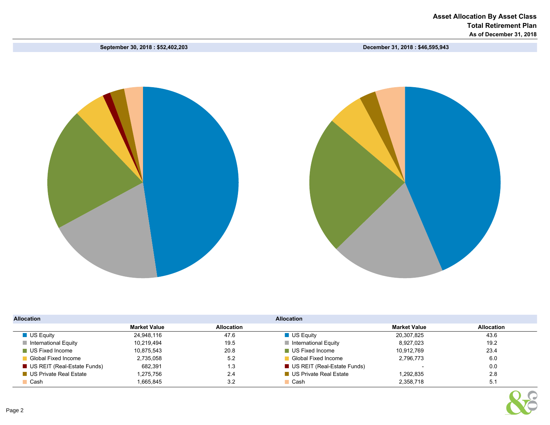September 30, 2018 : \$52,402,203 December 31, 2018 : \$46,595,943



| <b>Allocation</b>                   |                     |                   | <b>Allocation</b>                   |                     |                   |  |  |  |  |  |
|-------------------------------------|---------------------|-------------------|-------------------------------------|---------------------|-------------------|--|--|--|--|--|
|                                     | <b>Market Value</b> | <b>Allocation</b> |                                     | <b>Market Value</b> | <b>Allocation</b> |  |  |  |  |  |
| $\blacksquare$ US Equity            | 24,948,116          | 47.6              | $\blacksquare$ US Equity            | 20.307.825          | 43.6              |  |  |  |  |  |
| $\blacksquare$ International Equity | 10,219,494          | 19.5              | $\blacksquare$ International Equity | 8,927,023           | 19.2              |  |  |  |  |  |
| US Fixed Income                     | 10.875.543          | 20.8              | US Fixed Income                     | 10.912.769          | 23.4              |  |  |  |  |  |
| Global Fixed Income                 | 2,735,058           | 5.2               | ■ Global Fixed Income               | 2,796,773           | 6.0               |  |  |  |  |  |
| US REIT (Real-Estate Funds)         | 682.391             | 1.3               | US REIT (Real-Estate Funds)         |                     | 0.0               |  |  |  |  |  |
| ■ US Private Real Estate            | 1.275.756           | 2.4               | ■ US Private Real Estate            | 1.292.835           | 2.8               |  |  |  |  |  |
| Cash                                | 1.665.845           | 3.2               | $\Box$ Cash                         | 2,358,718           | 5.1               |  |  |  |  |  |

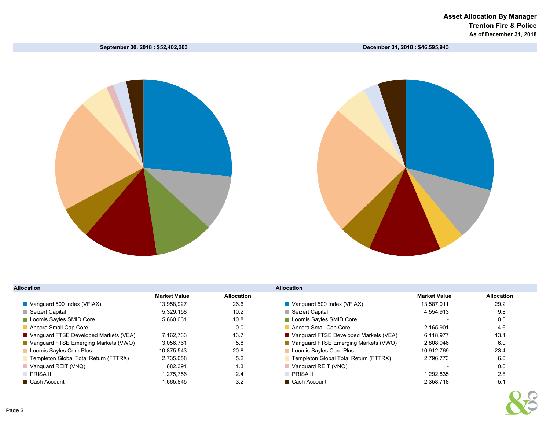September 30, 2018 : \$52,402,203 December 31, 2018 : \$46,595,943



| <b>Allocation</b>                       |                     |                   | <b>Allocation</b>                       |                     |            |  |  |  |  |  |  |  |  |
|-----------------------------------------|---------------------|-------------------|-----------------------------------------|---------------------|------------|--|--|--|--|--|--|--|--|
|                                         | <b>Market Value</b> | <b>Allocation</b> |                                         | <b>Market Value</b> | Allocation |  |  |  |  |  |  |  |  |
| Vanguard 500 Index ( $VFIX$ )           | 13.958.927          | 26.6              | Vanguard 500 Index ( $VFIAX$ )          | 13.587.011          | 29.2       |  |  |  |  |  |  |  |  |
| <b>■ Seizert Capital</b>                | 5.329.158           | 10.2              | Seizert Capital                         | 4,554,913           | 9.8        |  |  |  |  |  |  |  |  |
| Loomis Sayles SMID Core                 | 5,660,031           | 10.8              | Loomis Sayles SMID Core                 |                     | 0.0        |  |  |  |  |  |  |  |  |
| Ancora Small Cap Core                   |                     | 0.0               | Ancora Small Cap Core                   | 2.165.901           | 4.6        |  |  |  |  |  |  |  |  |
| ■ Vanguard FTSE Developed Markets (VEA) | 7.162.733           | 13.7              | ■ Vanguard FTSE Developed Markets (VEA) | 6.118.977           | 13.1       |  |  |  |  |  |  |  |  |
| ■ Vanguard FTSE Emerging Markets (VWO)  | 3.056.761           | 5.8               | ■ Vanguard FTSE Emerging Markets (VWO)  | 2.808.046           | 6.0        |  |  |  |  |  |  |  |  |
| Loomis Sayles Core Plus                 | 10.875.543          | 20.8              | Loomis Sayles Core Plus                 | 10.912.769          | 23.4       |  |  |  |  |  |  |  |  |
| Templeton Global Total Return (FTTRX)   | 2,735,058           | 5.2               | Templeton Global Total Return (FTTRX)   | 2.796.773           | 6.0        |  |  |  |  |  |  |  |  |
| $\blacksquare$ Vanguard REIT (VNQ)      | 682,391             | 1.3               | Vanguard REIT (VNQ)                     |                     | 0.0        |  |  |  |  |  |  |  |  |
| PRISA II                                | 1.275.756           | 2.4               | PRISA II                                | 1.292.835           | 2.8        |  |  |  |  |  |  |  |  |
| ■ Cash Account                          | 1.665.845           | 3.2               | ■ Cash Account                          | 2.358.718           | 5.1        |  |  |  |  |  |  |  |  |

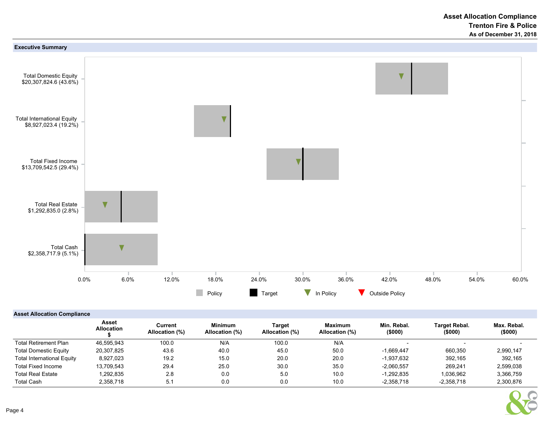

# Asset Allocation Compliance

|                                   | Asset<br><b>Allocation</b> | Current<br>Allocation (%) | <b>Minimum</b><br>Allocation (%) | Target<br>Allocation (%) | <b>Maximum</b><br>Allocation (%) | Min. Rebal.<br>(\$000) | <b>Target Rebal.</b><br>(\$000) | Max. Rebal.<br>(\$000) |
|-----------------------------------|----------------------------|---------------------------|----------------------------------|--------------------------|----------------------------------|------------------------|---------------------------------|------------------------|
| <b>Total Retirement Plan</b>      | 46,595,943                 | 100.0                     | N/A                              | 100.0                    | N/A                              |                        |                                 |                        |
| <b>Total Domestic Equity</b>      | 20.307.825                 | 43.6                      | 40.0                             | 45.0                     | 50.0                             | $-1.669.447$           | 660,350                         | 2,990,147              |
| <b>Total International Equity</b> | 8.927.023                  | 19.2                      | 15.0                             | 20.0                     | 20.0                             | $-1.937.632$           | 392.165                         | 392.165                |
| <b>Total Fixed Income</b>         | 13.709.543                 | 29.4                      | 25.0                             | 30.0                     | 35.0                             | $-2.060.557$           | 269.241                         | 2,599,038              |
| <b>Total Real Estate</b>          | ,292,835                   | 2.8                       | 0.0                              | 5.0                      | 10.0                             | $-1.292.835$           | 1,036,962                       | 3,366,759              |
| <b>Total Cash</b>                 | 2,358,718                  | 5.1                       | 0.0                              | 0.0                      | 10.0                             | $-2,358,718$           | $-2,358,718$                    | 2,300,876              |

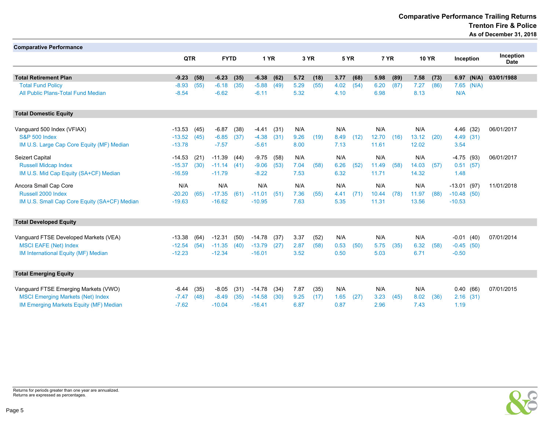Comparative Performance Trailing Returns Trenton Fire & Police

As of December 31, 2018

| <b>Comparative Performance</b>               |            |      |              |      |               |      |      |      |      |      |       |      |       |              |               |            |             |
|----------------------------------------------|------------|------|--------------|------|---------------|------|------|------|------|------|-------|------|-------|--------------|---------------|------------|-------------|
|                                              | <b>QTR</b> |      | <b>FYTD</b>  |      | 1 YR          |      |      |      | 5 YR |      | 7 YR  |      |       |              |               |            | Inception   |
|                                              |            |      |              |      |               |      |      | 3 YR |      |      |       |      |       | <b>10 YR</b> |               | Inception  | <b>Date</b> |
| <b>Total Retirement Plan</b>                 | $-9.23$    | (58) | $-6.23$      | (35) | $-6.38$       | (62) | 5.72 | (18) | 3.77 | (68) | 5.98  | (89) | 7.58  | (73)         |               | 6.97 (N/A) | 03/01/1988  |
| <b>Total Fund Policy</b>                     | $-8.93$    | (55) | $-6.18$      | (35) | $-5.88$       | (49) | 5.29 | (55) | 4.02 | (54) | 6.20  | (87) | 7.27  | (86)         |               | 7.65 (N/A) |             |
| All Public Plans-Total Fund Median           | $-8.54$    |      | $-6.62$      |      | $-6.11$       |      | 5.32 |      | 4.10 |      | 6.98  |      | 8.13  |              | N/A           |            |             |
| <b>Total Domestic Equity</b>                 |            |      |              |      |               |      |      |      |      |      |       |      |       |              |               |            |             |
| Vanguard 500 Index (VFIAX)                   | -13.53     | (45) | $-6.87$      | (38) | -4.41         | (31) | N/A  |      | N/A  |      | N/A   |      | N/A   |              |               | 4.46 (32)  | 06/01/2017  |
| <b>S&amp;P 500 Index</b>                     | $-13.52$   | (45) | $-6.85$      | (37) | $-4.38$       | (31) | 9.26 | (19) | 8.49 | (12) | 12.70 | (16) | 13.12 | (20)         |               | 4.49 (31)  |             |
| IM U.S. Large Cap Core Equity (MF) Median    | $-13.78$   |      | $-7.57$      |      | $-5.61$       |      | 8.00 |      | 7.13 |      | 11.61 |      | 12.02 |              | 3.54          |            |             |
| Seizert Capital                              | $-14.53$   | (21) | $-11.39$     | (44) | $-9.75$       | (58) | N/A  |      | N/A  |      | N/A   |      | N/A   |              | $-4.75(93)$   |            | 06/01/2017  |
| <b>Russell Midcap Index</b>                  | $-15.37$   | (30) | $-11.14(41)$ |      | $-9.06$       | (53) | 7.04 | (58) | 6.26 | (52) | 11.49 | (58) | 14.03 | (57)         |               | 0.51(57)   |             |
| IM U.S. Mid Cap Equity (SA+CF) Median        | $-16.59$   |      | $-11.79$     |      | $-8.22$       |      | 7.53 |      | 6.32 |      | 11.71 |      | 14.32 |              | 1.48          |            |             |
| Ancora Small Cap Core                        | N/A        |      | N/A          |      | N/A           |      | N/A  |      | N/A  |      | N/A   |      | N/A   |              | $-13.01(97)$  |            | 11/01/2018  |
| Russell 2000 Index                           | $-20.20$   | (65) | $-17.35$     | (61) | $-11.01$ (51) |      | 7.36 | (55) | 4.41 | (71) | 10.44 | (78) | 11.97 | (88)         | $-10.48$ (50) |            |             |
| IM U.S. Small Cap Core Equity (SA+CF) Median | $-19.63$   |      | $-16.62$     |      | $-10.95$      |      | 7.63 |      | 5.35 |      | 11.31 |      | 13.56 |              | $-10.53$      |            |             |
| <b>Total Developed Equity</b>                |            |      |              |      |               |      |      |      |      |      |       |      |       |              |               |            |             |
| Vanguard FTSE Developed Markets (VEA)        | $-13.38$   | (64) | $-12.31$     | (50) | $-14.78$      | (37) | 3.37 | (52) | N/A  |      | N/A   |      | N/A   |              | $-0.01$ (40)  |            | 07/01/2014  |
| <b>MSCI EAFE (Net) Index</b>                 | $-12.54$   | (54) | $-11.35$     | (40) | $-13.79$      | (27) | 2.87 | (58) | 0.53 | (50) | 5.75  | (35) | 6.32  | (58)         | $-0.45(50)$   |            |             |
| IM International Equity (MF) Median          | $-12.23$   |      | $-12.34$     |      | $-16.01$      |      | 3.52 |      | 0.50 |      | 5.03  |      | 6.71  |              | $-0.50$       |            |             |
| <b>Total Emerging Equity</b>                 |            |      |              |      |               |      |      |      |      |      |       |      |       |              |               |            |             |
| Vanguard FTSE Emerging Markets (VWO)         | $-6.44$    | (35) | $-8.05$      | (31) | $-14.78$      | (34) | 7.87 | (35) | N/A  |      | N/A   |      | N/A   |              |               | 0.40(66)   | 07/01/2015  |
| <b>MSCI Emerging Markets (Net) Index</b>     | $-7.47$    | (48) | $-8.49$      | (35) | $-14.58$      | (30) | 9.25 | (17) | 1.65 | (27) | 3.23  | (45) | 8.02  | (36)         |               | 2.16(31)   |             |
| IM Emerging Markets Equity (MF) Median       | $-7.62$    |      | $-10.04$     |      | $-16.41$      |      | 6.87 |      | 0.87 |      | 2.96  |      | 7.43  |              | 1.19          |            |             |



Returns for periods greater than one year are annualized. Returns are expressed as percentages.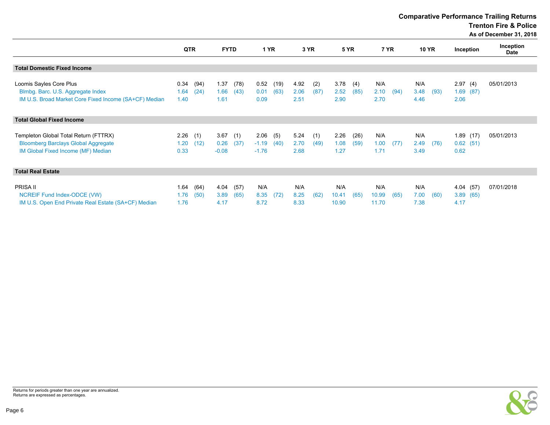Comparative Performance Trailing Returns

Trenton Fire & Police

As of December 31, 2018

|                                                                                                                           | QTR                  |              | <b>FYTD</b>             |              | <b>1 YR</b>                |              |                      | 3 YR        |                       | <b>5 YR</b>  | 7 YR                  |      | <b>10 YR</b>        |      |                              | Inception       | Inception<br>Date |
|---------------------------------------------------------------------------------------------------------------------------|----------------------|--------------|-------------------------|--------------|----------------------------|--------------|----------------------|-------------|-----------------------|--------------|-----------------------|------|---------------------|------|------------------------------|-----------------|-------------------|
| <b>Total Domestic Fixed Income</b>                                                                                        |                      |              |                         |              |                            |              |                      |             |                       |              |                       |      |                     |      |                              |                 |                   |
| Loomis Sayles Core Plus<br>Blmbg. Barc. U.S. Aggregate Index<br>IM U.S. Broad Market Core Fixed Income (SA+CF) Median     | 0.34<br>1.64<br>1.40 | (94)<br>(24) | 1.37<br>1.66<br>1.61    | (78)<br>(43) | 0.52<br>0.01<br>0.09       | (19)<br>(63) | 4.92<br>2.06<br>2.51 | (2)<br>(87) | 3.78<br>2.52<br>2.90  | (4)<br>(85)  | N/A<br>2.10<br>2.70   | (94) | N/A<br>3.48<br>4.46 | (93) | 2.97<br>2.06                 | (4)<br>1.69(87) | 05/01/2013        |
| <b>Total Global Fixed Income</b>                                                                                          |                      |              |                         |              |                            |              |                      |             |                       |              |                       |      |                     |      |                              |                 |                   |
| Templeton Global Total Return (FTTRX)<br><b>Bloomberg Barclays Global Aggregate</b><br>IM Global Fixed Income (MF) Median | 2.26<br>1.20<br>0.33 | (1)<br>(12)  | 3.67<br>0.26<br>$-0.08$ | (1)<br>(37)  | 2.06<br>$-1.19$<br>$-1.76$ | (5)<br>(40)  | 5.24<br>2.70<br>2.68 | (1)<br>(49) | 2.26<br>1.08<br>1.27  | (26)<br>(59) | N/A<br>1.00<br>1.71   | (77) | N/A<br>2.49<br>3.49 | (76) | 0.62(51)<br>0.62             | 1.89(17)        | 05/01/2013        |
| <b>Total Real Estate</b>                                                                                                  |                      |              |                         |              |                            |              |                      |             |                       |              |                       |      |                     |      |                              |                 |                   |
| PRISA II<br>NCREIF Fund Index-ODCE (VW)<br>IM U.S. Open End Private Real Estate (SA+CF) Median                            | 1.64<br>1.76<br>1.76 | (64)<br>(50) | 4.04<br>3.89<br>4.17    | (57)<br>(65) | N/A<br>8.35<br>8.72        | (72)         | N/A<br>8.25<br>8.33  | (62)        | N/A<br>10.41<br>10.90 | (65)         | N/A<br>10.99<br>11.70 | (65) | N/A<br>7.00<br>7.38 | (60) | 4.04(57)<br>3.89(65)<br>4.17 |                 | 07/01/2018        |

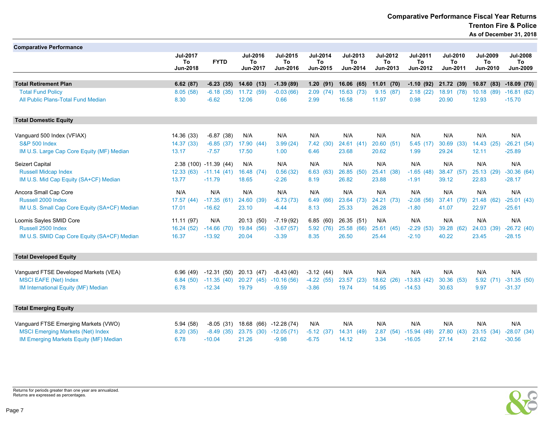| <b>Comparative Performance</b>                           |                                   |                            |                                   |                                   |                                   |                                   |                                   |                                   |                                   |                                   |                                          |
|----------------------------------------------------------|-----------------------------------|----------------------------|-----------------------------------|-----------------------------------|-----------------------------------|-----------------------------------|-----------------------------------|-----------------------------------|-----------------------------------|-----------------------------------|------------------------------------------|
|                                                          | <b>Jul-2017</b><br>To<br>Jun-2018 | <b>FYTD</b>                | <b>Jul-2016</b><br>To<br>Jun-2017 | <b>Jul-2015</b><br>To<br>Jun-2016 | <b>Jul-2014</b><br>To<br>Jun-2015 | <b>Jul-2013</b><br>To<br>Jun-2014 | <b>Jul-2012</b><br>To<br>Jun-2013 | <b>Jul-2011</b><br>To<br>Jun-2012 | <b>Jul-2010</b><br>To<br>Jun-2011 | <b>Jul-2009</b><br>To<br>Jun-2010 | <b>Jul-2008</b><br>To<br><b>Jun-2009</b> |
|                                                          |                                   |                            |                                   |                                   |                                   |                                   |                                   |                                   |                                   |                                   |                                          |
| <b>Total Retirement Plan</b><br><b>Total Fund Policy</b> | 6.62(87)<br>8.05(58)              | $-6.23(35)$<br>$-6.18(35)$ | 14.60(13)<br>11.72 (59)           | $-1.39(89)$<br>$-0.03(66)$        | 1.20(91)<br>2.09<br>(74)          | 16.06(65)<br>15.63 (73)           | 11.01(70)<br>9.15(87)             | $-1.10(92)$<br>2.18(22)           | 21.72 (39)<br>18.91 (78)          | 10.87<br>(83)<br>10.18<br>(89)    | $-18.09(70)$<br>$-16.81(62)$             |
| All Public Plans-Total Fund Median                       | 8.30                              | $-6.62$                    | 12.06                             | 0.66                              | 2.99                              | 16.58                             | 11.97                             | 0.98                              | 20.90                             | 12.93                             | $-15.70$                                 |
| <b>Total Domestic Equity</b>                             |                                   |                            |                                   |                                   |                                   |                                   |                                   |                                   |                                   |                                   |                                          |
| Vanguard 500 Index (VFIAX)                               | 14.36 (33)                        | $-6.87(38)$                | N/A                               | N/A                               | N/A                               | N/A                               | N/A                               | N/A                               | N/A                               | N/A                               | N/A                                      |
| <b>S&amp;P 500 Index</b>                                 | 14.37 (33)                        | $-6.85(37)$                | 17.90<br>(44)                     | 3.99(24)                          | 7.42(30)                          | 24.61(41)                         | 20.60(51)                         | 5.45(17)                          | 30.69<br>(33)                     | 14.43<br>(25)                     | $-26.21(54)$                             |
| IM U.S. Large Cap Core Equity (MF) Median                | 13.17                             | $-7.57$                    | 17.50                             | 1.00                              | 6.46                              | 23.68                             | 20.62                             | 1.99                              | 29.24                             | 12.11                             | $-25.89$                                 |
| Seizert Capital                                          |                                   | 2.38 (100) -11.39 (44)     | N/A                               | N/A                               | N/A                               | N/A                               | N/A                               | N/A                               | N/A                               | N/A                               | N/A                                      |
| <b>Russell Midcap Index</b>                              | 12.33(63)                         | $-11.14(41)$               | 16.48 (74)                        | 0.56(32)                          | 6.63<br>(63)                      | 26.85 (50)                        | 25.41 (38)                        | $-1.65(48)$                       | 38.47<br>(57)                     | 25.13<br>(29)                     | $-30.36(64)$                             |
| IM U.S. Mid Cap Equity (SA+CF) Median                    | 13.77                             | $-11.79$                   | 18.65                             | $-2.26$                           | 8.19                              | 26.82                             | 23.88                             | $-1.91$                           | 39.12                             | 22.83                             | $-28.17$                                 |
| Ancora Small Cap Core                                    | N/A                               | N/A                        | N/A                               | N/A                               | N/A                               | N/A                               | N/A                               | N/A                               | N/A                               | N/A                               | N/A                                      |
| Russell 2000 Index                                       | 17.57(44)                         | $-17.35(61)$               | 24.60<br>(39)                     | $-6.73(73)$                       | 6.49<br>(66)                      | 23.64 (73)                        | 24.21 (73)                        | $-2.08(56)$                       | 37.41 (79)                        | 21.48<br>(62)                     | $-25.01(43)$                             |
| IM U.S. Small Cap Core Equity (SA+CF) Median             | 17.01                             | $-16.62$                   | 23.10                             | $-4.44$                           | 8.13                              | 25.33                             | 26.28                             | $-1.80$                           | 41.07                             | 22.97                             | $-25.61$                                 |
| Loomis Sayles SMID Core                                  | 11.11(97)                         | N/A                        | 20.13 (50)                        | $-7.19(92)$                       | 6.85<br>(60)                      | 26.35 (51)                        | N/A                               | N/A                               | N/A                               | N/A                               | N/A                                      |
| Russell 2500 Index                                       | 16.24(52)                         | $-14.66(70)$               | 19.84<br>(56)                     | $-3.67(57)$                       | 5.92(76)                          | 25.58 (66)                        | 25.61(45)                         | $-2.29(53)$                       | 39.28<br>(62)                     | 24.03<br>(39)                     | $-26.72(40)$                             |
| IM U.S. SMID Cap Core Equity (SA+CF) Median              | 16.37                             | $-13.92$                   | 20.04                             | $-3.39$                           | 8.35                              | 26.50                             | 25.44                             | $-2.10$                           | 40.22                             | 23.45                             | $-28.15$                                 |
| <b>Total Developed Equity</b>                            |                                   |                            |                                   |                                   |                                   |                                   |                                   |                                   |                                   |                                   |                                          |
| Vanguard FTSE Developed Markets (VEA)                    | 6.96 (49)                         | $-12.31(50)$               | 20.13 (47)                        | $-8.43(40)$                       | $-3.12(44)$                       | N/A                               | N/A                               | N/A                               | N/A                               | N/A                               | N/A                                      |
| <b>MSCI EAFE (Net) Index</b>                             | 6.84(50)                          | $-11.35(40)$               | 20.27(45)                         | $-10.16(56)$                      | $-4.22(55)$                       | 23.57 (23)                        | 18.62 (26)                        | $-13.83(42)$                      | 30.36 (53)                        | 5.92<br>(71)                      | $-31.35(50)$                             |
| IM International Equity (MF) Median                      | 6.78                              | $-12.34$                   | 19.79                             | $-9.59$                           | $-3.86$                           | 19.74                             | 14.95                             | $-14.53$                          | 30.63                             | 9.97                              | $-31.37$                                 |
| <b>Total Emerging Equity</b>                             |                                   |                            |                                   |                                   |                                   |                                   |                                   |                                   |                                   |                                   |                                          |
| Vanguard FTSE Emerging Markets (VWO)                     | 5.94 (58)                         | $-8.05(31)$                | 18.68<br>(66)                     | $-12.28(74)$                      | N/A                               | N/A                               | N/A                               | N/A                               | N/A                               | N/A                               | N/A                                      |
| <b>MSCI Emerging Markets (Net) Index</b>                 | 8.20(35)                          | $-8.49(35)$                | 23.75<br>(30)                     | $-12.05(71)$                      | $-5.12(37)$                       | 14.31 (49)                        | 2.87(54)                          | $-15.94(49)$                      | 27.80<br>(43)                     | 23.15<br>(34)                     | $-28.07(34)$                             |
| IM Emerging Markets Equity (MF) Median                   | 6.78                              | $-10.04$                   | 21.26                             | $-9.98$                           | $-6.75$                           | 14.12                             | 3.34                              | $-16.05$                          | 27.14                             | 21.62                             | $-30.56$                                 |



Returns for periods greater than one year are annualized. Returns are expressed as percentages.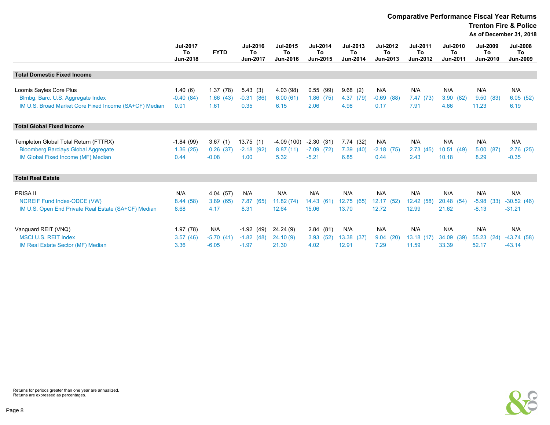Comparative Performance Fiscal Year Returns

Trenton Fire & Police

As of December 31, 2018

|                                                                                  | <b>Jul-2017</b><br>To<br>Jun-2018 | <b>FYTD</b>          | <b>Jul-2016</b><br>To<br>Jun-2017 | Jul-2015<br>To<br>Jun-2016 | <b>Jul-2014</b><br>To<br>Jun-2015 | Jul-2013<br>To<br>Jun-2014 | <b>Jul-2012</b><br>To<br>Jun-2013 | <b>Jul-2011</b><br>To<br>Jun-2012 | <b>Jul-2010</b><br>To<br>Jun-2011 | <b>Jul-2009</b><br>To<br>Jun-2010 | <b>Jul-2008</b><br>To<br><b>Jun-2009</b> |
|----------------------------------------------------------------------------------|-----------------------------------|----------------------|-----------------------------------|----------------------------|-----------------------------------|----------------------------|-----------------------------------|-----------------------------------|-----------------------------------|-----------------------------------|------------------------------------------|
| <b>Total Domestic Fixed Income</b>                                               |                                   |                      |                                   |                            |                                   |                            |                                   |                                   |                                   |                                   |                                          |
|                                                                                  |                                   |                      |                                   |                            |                                   |                            |                                   |                                   |                                   |                                   |                                          |
| Loomis Sayles Core Plus<br>Blmbg. Barc. U.S. Aggregate Index                     | 1.40(6)<br>$-0.40(84)$            | 1.37(78)<br>1.66(43) | 5.43(3)<br>$-0.31(86)$            | 4.03 (98)<br>6.00(61)      | 0.55(99)<br>1.86(75)              | 9.68(2)<br>4.37<br>(79)    | N/A<br>$-0.69$<br>(88)            | N/A<br>7.47(73)                   | N/A<br>3.90<br>(82)               | N/A<br>9.50(83)                   | N/A<br>6.05(52)                          |
| IM U.S. Broad Market Core Fixed Income (SA+CF) Median                            | 0.01                              | 1.61                 | 0.35                              | 6.15                       | 2.06                              | 4.98                       | 0.17                              | 7.91                              | 4.66                              | 11.23                             | 6.19                                     |
| <b>Total Global Fixed Income</b>                                                 |                                   |                      |                                   |                            |                                   |                            |                                   |                                   |                                   |                                   |                                          |
|                                                                                  |                                   |                      |                                   |                            |                                   |                            |                                   |                                   |                                   |                                   |                                          |
| Templeton Global Total Return (FTTRX)                                            | $-1.84(99)$                       | 3.67(1)              | 13.75(1)                          | $-4.09(100)$               | $-2.30(31)$                       | 7.74(32)                   | N/A                               | N/A                               | N/A                               | N/A                               | N/A                                      |
| <b>Bloomberg Barclays Global Aggregate</b><br>IM Global Fixed Income (MF) Median | 1.36(25)<br>0.44                  | 0.26(37)<br>$-0.08$  | $-2.18$ (92)<br>1.00              | 8.87(11)<br>5.32           | $-7.09(72)$<br>$-5.21$            | 7.39(40)<br>6.85           | $-2.18$ (75)<br>0.44              | 2.73(45)<br>2.43                  | 10.51(49)<br>10.18                | 5.00(87)<br>8.29                  | 2.76(25)<br>$-0.35$                      |
| <b>Total Real Estate</b>                                                         |                                   |                      |                                   |                            |                                   |                            |                                   |                                   |                                   |                                   |                                          |
| <b>PRISA II</b>                                                                  | N/A                               |                      | N/A                               | N/A                        | N/A                               | N/A                        | N/A                               | N/A                               | N/A                               | N/A                               | N/A                                      |
| NCREIF Fund Index-ODCE (VW)                                                      | 8.44(58)                          | 4.04(57)<br>3.89(65) | 7.87<br>(65)                      | 11.82(74)                  | 14.43 (61)                        | 12.75 (65)                 | 12.17 (52)                        | 12.42 (58)                        | 20.48 (54)                        | $-5.98$<br>(33)                   | $-30.52(46)$                             |
| IM U.S. Open End Private Real Estate (SA+CF) Median                              | 8.68                              | 4.17                 | 8.31                              | 12.64                      | 15.06                             | 13.70                      | 12.72                             | 12.99                             | 21.62                             | $-8.13$                           | $-31.21$                                 |
|                                                                                  |                                   |                      |                                   |                            |                                   |                            |                                   |                                   |                                   |                                   |                                          |
| Vanguard REIT (VNQ)                                                              | 1.97(78)                          | N/A                  | $-1.92(49)$                       | 24.24(9)                   | 2.84(81)                          | N/A                        | N/A                               | N/A                               | N/A                               | N/A                               | N/A                                      |
| <b>MSCI U.S. REIT Index</b>                                                      | 3.57(46)                          | $-5.70(41)$          | $-1.82(48)$                       | 24.10(9)                   | 3.93(52)                          | 13.38 (37)                 | 9.04<br>(20)                      | 13.18 (17)                        | 34.09<br>(39)                     | 55.23<br>(24)                     | $-43.74(58)$                             |
| IM Real Estate Sector (MF) Median                                                | 3.36                              | $-6.05$              | $-1.97$                           | 21.30                      | 4.02                              | 12.91                      | 7.29                              | 11.59                             | 33.39                             | 52.17                             | $-43.14$                                 |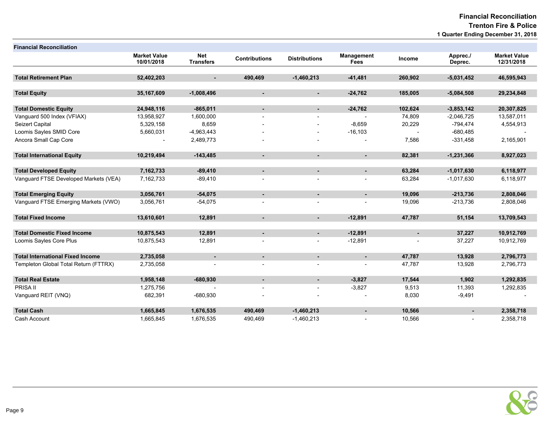Financial Reconciliation Trenton Fire & Police 1 Quarter Ending December 31, 2018

| <b>Financial Reconciliation</b>         |                                   |                                |                      |                      |                                  |                |                     |                                   |
|-----------------------------------------|-----------------------------------|--------------------------------|----------------------|----------------------|----------------------------------|----------------|---------------------|-----------------------------------|
|                                         | <b>Market Value</b><br>10/01/2018 | <b>Net</b><br><b>Transfers</b> | <b>Contributions</b> | <b>Distributions</b> | <b>Management</b><br><b>Fees</b> | Income         | Apprec./<br>Deprec. | <b>Market Value</b><br>12/31/2018 |
|                                         |                                   |                                |                      |                      |                                  |                |                     |                                   |
| <b>Total Retirement Plan</b>            | 52,402,203                        | $\blacksquare$                 | 490,469              | $-1,460,213$         | $-41,481$                        | 260,902        | $-5,031,452$        | 46,595,943                        |
| <b>Total Equity</b>                     | 35,167,609                        | $-1,008,496$                   | $\sim$               | $\blacksquare$       | $-24,762$                        | 185,005        | $-5,084,508$        | 29,234,848                        |
|                                         |                                   |                                |                      |                      |                                  |                |                     |                                   |
| <b>Total Domestic Equity</b>            | 24,948,116                        | $-865,011$                     | $\blacksquare$       | $\sim$               | $-24,762$                        | 102,624        | $-3,853,142$        | 20,307,825                        |
| Vanquard 500 Index (VFIAX)              | 13,958,927                        | 1,600,000                      |                      |                      |                                  | 74,809         | $-2,046,725$        | 13,587,011                        |
| Seizert Capital                         | 5,329,158                         | 8,659                          |                      |                      | $-8,659$                         | 20,229         | $-794,474$          | 4,554,913                         |
| Loomis Sayles SMID Core                 | 5,660,031                         | $-4,963,443$                   |                      |                      | $-16, 103$                       |                | $-680,485$          |                                   |
| Ancora Small Cap Core                   |                                   | 2,489,773                      |                      |                      |                                  | 7,586          | $-331,458$          | 2,165,901                         |
| <b>Total International Equity</b>       | 10,219,494                        | $-143,485$                     |                      |                      | ä,                               | 82,381         | $-1,231,366$        | 8,927,023                         |
|                                         |                                   |                                |                      |                      |                                  |                |                     |                                   |
| <b>Total Developed Equity</b>           | 7,162,733                         | $-89,410$                      | $\blacksquare$       | $\blacksquare$       | $\blacksquare$                   | 63,284         | $-1,017,630$        | 6,118,977                         |
| Vanguard FTSE Developed Markets (VEA)   | 7,162,733                         | $-89,410$                      |                      |                      |                                  | 63,284         | $-1,017,630$        | 6,118,977                         |
| <b>Total Emerging Equity</b>            | 3,056,761                         | $-54,075$                      | $\blacksquare$       | $\blacksquare$       | $\blacksquare$                   | 19,096         | $-213,736$          | 2,808,046                         |
| Vanguard FTSE Emerging Markets (VWO)    | 3,056,761                         | $-54,075$                      |                      |                      |                                  | 19,096         | $-213,736$          | 2,808,046                         |
| <b>Total Fixed Income</b>               | 13,610,601                        | 12,891                         | $\sim$               | $\sim$               | $-12,891$                        | 47,787         | 51,154              | 13,709,543                        |
|                                         |                                   |                                |                      |                      |                                  |                |                     |                                   |
| <b>Total Domestic Fixed Income</b>      | 10,875,543                        | 12,891                         | $\sim$               | $\sim$               | $-12,891$                        | $\blacksquare$ | 37,227              | 10,912,769                        |
| Loomis Sayles Core Plus                 | 10,875,543                        | 12,891                         |                      |                      | $-12,891$                        |                | 37,227              | 10,912,769                        |
| <b>Total International Fixed Income</b> | 2,735,058                         | $\sim$                         | $\blacksquare$       | $\sim$               | $\blacksquare$                   | 47,787         | 13,928              | 2,796,773                         |
| Templeton Global Total Return (FTTRX)   | 2,735,058                         |                                |                      |                      |                                  | 47,787         | 13,928              | 2,796,773                         |
| <b>Total Real Estate</b>                | 1,958,148                         | $-680,930$                     | ٠                    | $\blacksquare$       | $-3,827$                         | 17,544         | 1,902               | 1,292,835                         |
| PRISA II                                | 1,275,756                         |                                |                      |                      | $-3,827$                         | 9,513          | 11,393              | 1,292,835                         |
| Vanguard REIT (VNQ)                     | 682,391                           | $-680,930$                     |                      |                      |                                  | 8,030          | $-9,491$            |                                   |
| <b>Total Cash</b>                       | 1,665,845                         | 1,676,535                      | 490,469              | $-1,460,213$         | $\blacksquare$                   | 10,566         |                     | 2,358,718                         |
| Cash Account                            | 1,665,845                         | 1,676,535                      | 490,469              | $-1,460,213$         |                                  | 10,566         |                     | 2,358,718                         |

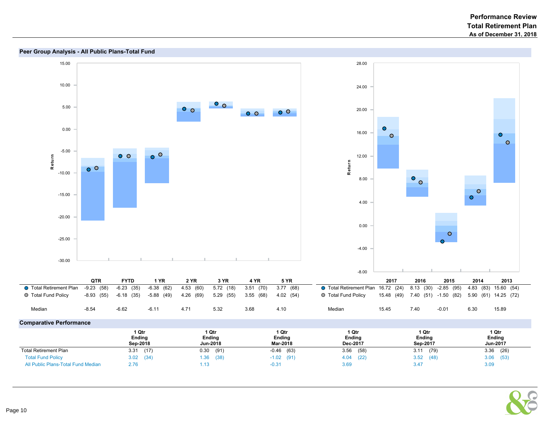



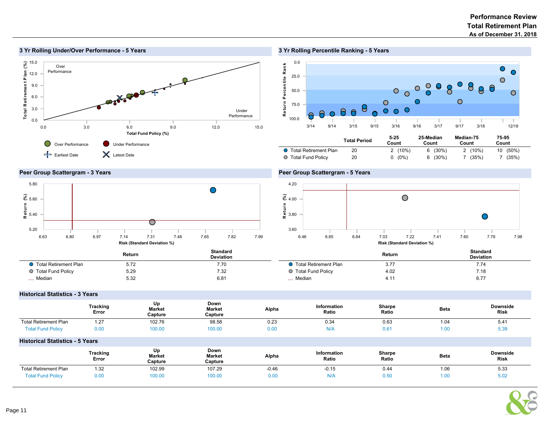#### $rac{15.0}{8}$ Total R etiremen t P lan (%) Over Performance Total Retirement Plan 12.0 9.0 6.0 3.0 Under Performance 0.0 0.0 3.0 6.0 9.0 12.0 15.0 Total Fund Policy (%) Over Performance Under Performance Earliest Date **X** Latest Date

# 3 Yr Rolling Percentile Ranking - 5 Years



# Peer Group Scattergram - 3 Years

3 Yr Rolling Under/Over Performance - 5 Years



# Peer Group Scattergram - 5 Years



|                         | Return | <b>Standard</b><br><b>Deviation</b> |                         |  |
|-------------------------|--------|-------------------------------------|-------------------------|--|
| ◯ Total Retirement Plan | 5.72   | 7.70                                | ● Total Retirement Plan |  |
| ◯ Total Fund Policy     | 5.29   | 7.32                                | ○ Total Fund Policy     |  |
| <sub>__</sub> Median    | 5.32   | 6.81                                | Median                  |  |

# Return Standard<br>
Return Standard Deviation **O** Total Retirement Plan 3.77 3.74 ● Total Fund Policy 4.02 7.18  $\mu$  Median 6.77

# Historical Statistics - 3 Years

|                                        | Tracking<br>Error        | Up<br><b>Market</b><br>Capture | Down<br><b>Market</b><br>Capture | Alpha   | Information<br>Ratio | Sharpe<br>Ratio | <b>Beta</b> | <b>Downside</b><br><b>Risk</b> |
|----------------------------------------|--------------------------|--------------------------------|----------------------------------|---------|----------------------|-----------------|-------------|--------------------------------|
| <b>Total Retirement Plan</b>           | 1.27                     | 102.76                         | 98.58                            | 0.23    | 0.34                 | 0.63            | 1.04        | 5.41                           |
| <b>Total Fund Policy</b>               | 0.00                     | 100.00                         | 100.00                           | 0.00    | N/A                  | 0.61            | 1.00        | 5.39                           |
| <b>Historical Statistics - 5 Years</b> |                          |                                |                                  |         |                      |                 |             |                                |
|                                        | <b>Tracking</b><br>Error | Up<br><b>Market</b><br>Capture | Down<br><b>Market</b><br>Capture | Alpha   | Information<br>Ratio | Sharpe<br>Ratio | <b>Beta</b> | <b>Downside</b><br><b>Risk</b> |
| <b>Total Retirement Plan</b>           | 1.32                     | 102.99                         | 107.29                           | $-0.46$ | $-0.15$              | 0.44            | 1.06        | 5.33                           |
| <b>Total Fund Policy</b>               | 0.00                     | 100.00                         | 100.00                           | 0.00    | N/A                  | 0.50            | 1.00        | 5.02                           |

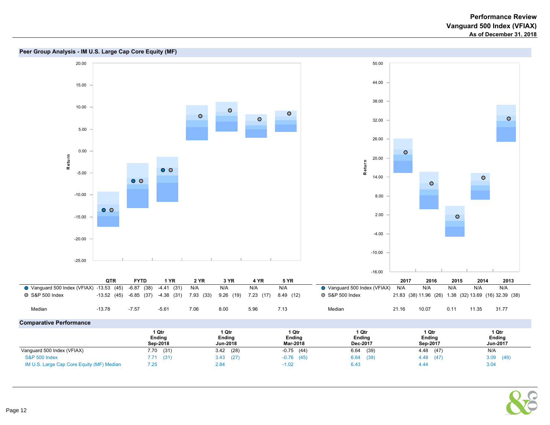



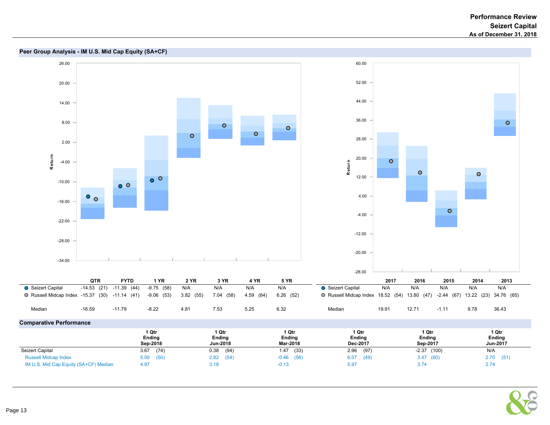

#### **Peer Group Analysis - IM U.S. Mid Cap Equity (SA+CF)**

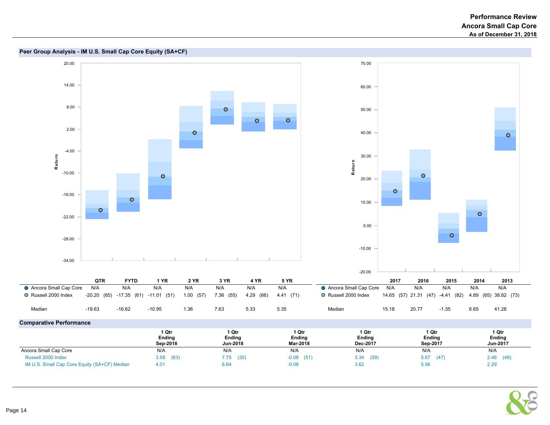

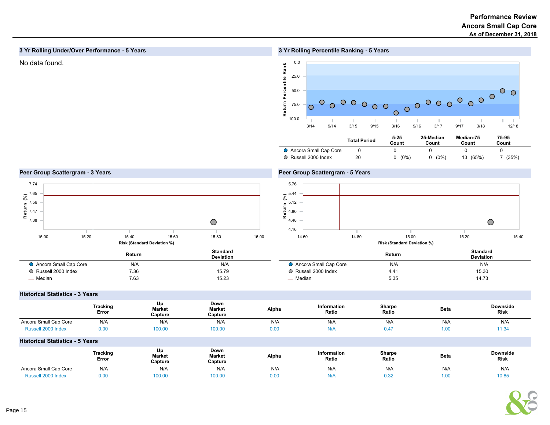# 3 Yr Rolling Under/Over Performance - 5 Years

# No data found.  $\leq 0.0$

# 3 Yr Rolling Percentile Ranking - 5 Years



### Peer Group Scattergram - 3 Years



# Peer Group Scattergram - 5 Years



|                       | Return | <b>Standard</b><br><b>Deviation</b> |                       | Return<br>$\cdots$ | <b>Standard</b><br><b>Deviation</b> |
|-----------------------|--------|-------------------------------------|-----------------------|--------------------|-------------------------------------|
| Ancora Small Cap Core | N/A    | N/A                                 | Ancora Small Cap Core | N/A                | N/A                                 |
| O Russell 2000 Index  | 7.36   | 15.79                               | Russell 2000 Index    | 4.41               | 15.30                               |
| _ Median              | 7.63   | 15.23                               | _ Median              | 5.35               | 14.73                               |

#### Historical Statistics - 3 Years

|                                        | Tracking<br>Error | Up<br>Market<br>Capture | Down<br><b>Market</b><br>Capture | Alpha | <b>Information</b><br>Ratio | Sharpe<br>Ratio | <b>Beta</b> | Downside<br><b>Risk</b> |
|----------------------------------------|-------------------|-------------------------|----------------------------------|-------|-----------------------------|-----------------|-------------|-------------------------|
| Ancora Small Cap Core                  | N/A               | N/A                     | N/A                              | N/A   | N/A                         | N/A             | N/A         | N/A                     |
| Russell 2000 Index                     | 0.00              | 100.00                  | 100.00                           | 0.00  | N/A                         | 0.47            | 1.00        | 11.34                   |
| <b>Historical Statistics - 5 Years</b> |                   |                         |                                  |       |                             |                 |             |                         |

|                             | Tracking<br>Error | Up<br><b>Market</b><br>Capture | Down<br><b>Market</b><br>Capture | Alpha | Information<br>Ratio | <b>Sharpe</b><br>Ratio | <b>Beta</b> | <b>Downside</b><br><b>Risk</b> |
|-----------------------------|-------------------|--------------------------------|----------------------------------|-------|----------------------|------------------------|-------------|--------------------------------|
| Ancora Small Cap Core       | N/A               | N/A                            | N/A                              | N/A   | N/A                  | N/A                    | N/A         | N/A                            |
| ີງງາ Index<br><b>UA22LL</b> | 0.00              | 100.00                         | 100.00                           | 0.00  |                      | ∪.∪∠                   | 1.OC        | 10.85                          |

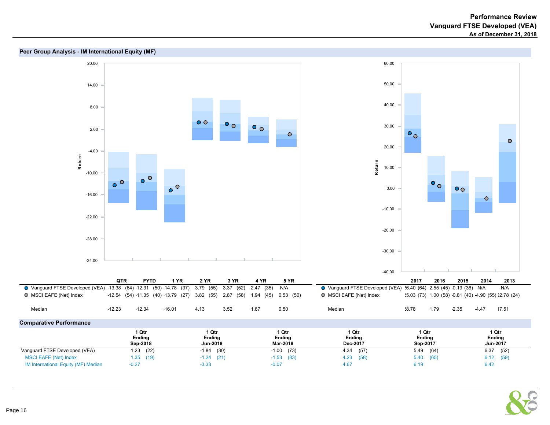

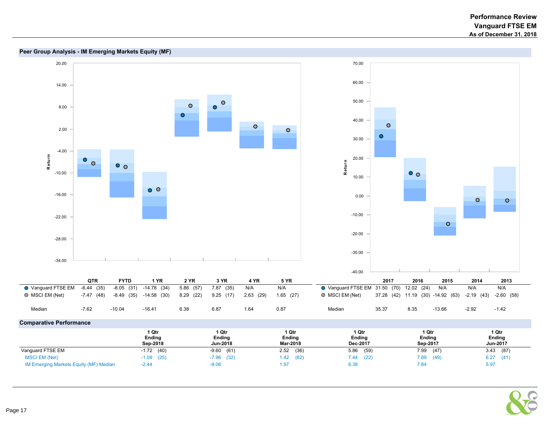

# Peer Group Analysis - IM Emerging Markets Equity (MF)

| $\sim$ paracive respectively.          |                             |                             |                                    |                                    |                                    |                                    |
|----------------------------------------|-----------------------------|-----------------------------|------------------------------------|------------------------------------|------------------------------------|------------------------------------|
|                                        | l Qtr<br>Ending<br>Sep-2018 | l Qtr<br>Ending<br>Jun-2018 | 1 Qtr<br><b>Ending</b><br>Mar-2018 | 1 Qtr<br><b>Ending</b><br>Dec-2017 | 1 Qtr<br><b>Ending</b><br>Sep-2017 | 1 Qtr<br><b>Ending</b><br>Jun-2017 |
| Vanguard FTSE EM                       | (40)<br>$-1.72$             | (61)<br>$-9.60$             | (36)<br>2.52                       | 5.86<br>(59)                       | 7.99<br>(47)                       | 3.43<br>(87)                       |
| <b>MSCI EM (Net)</b>                   | $-1.09$ (25)                | $-7.96$ (32)                | (62)<br>1.42                       | (22)<br>7.44                       | 7.89<br>(49)                       | 6.27<br>(41)                       |
| IM Emerging Markets Equity (MF) Median | $-2.44$                     | $-9.06$                     | 1.97                               | 6.38                               | 7.84                               | 5.97                               |

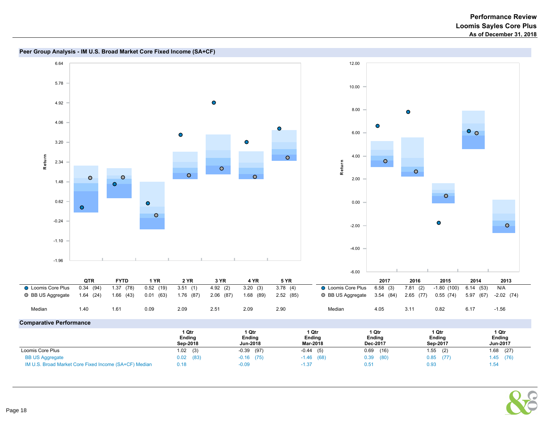

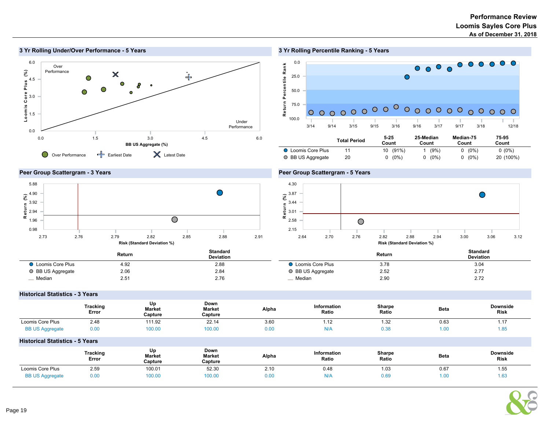

# 3 Yr Rolling Percentile Ranking - 5 Years



|                           | ι υιαι Γειιυμ | Count    | Count   | Count        | Count     |  |
|---------------------------|---------------|----------|---------|--------------|-----------|--|
| <b>O</b> Loomis Core Plus |               | 10 (91%) | (9%)    | $(0\%)$      | $0(0\%)$  |  |
| O BB US Aggregate         | 20            | $(0\%)$  | $(0\%)$ | $(0\%)$<br>0 | 20 (100%) |  |

# Peer Group Scattergram - 3 Years



# Peer Group Scattergram - 5 Years



|                           | Return | <b>Standard</b><br><b>Deviation</b> |                         | Return | <b>Standard</b><br><b>Deviation</b> |
|---------------------------|--------|-------------------------------------|-------------------------|--------|-------------------------------------|
| <b>Q</b> Loomis Core Plus | 4.92   | 2.88                                | <b>Loomis Core Plus</b> | 3.78   | 3.04                                |
| ○ BB US Aggregate         | 2.06   | 2.84                                | ○ BB US Aggregate       | 2.52   | 2.77                                |
| Median                    | 2.51   | 2.76                                | _ Median                | 2.90   | 2.72                                |

# Historical Statistics - 3 Years

|                                        | Tracking<br>Error | Up<br>Market<br>Capture        | Down<br>Market<br>Capture        | Alpha | Information<br>Ratio | Sharpe<br>Ratio | <b>Beta</b> | <b>Downside</b><br><b>Risk</b> |
|----------------------------------------|-------------------|--------------------------------|----------------------------------|-------|----------------------|-----------------|-------------|--------------------------------|
| Loomis Core Plus                       | 2.48              | 111.92                         | 22.14                            | 3.60  | 1.12                 | 1.32            | 0.63        | 1.17                           |
| <b>BB US Aggregate</b>                 | 0.00              | 100.00                         | 100.00                           | 0.00  | N/A                  | 0.38            | 1.00        | 1.85                           |
| <b>Historical Statistics - 5 Years</b> |                   |                                |                                  |       |                      |                 |             |                                |
|                                        | Tracking<br>Error | Up<br><b>Market</b><br>Capture | Down<br><b>Market</b><br>Capture | Alpha | Information<br>Ratio | Sharpe<br>Ratio | <b>Beta</b> | <b>Downside</b><br><b>Risk</b> |
| Loomis Core Plus                       | 2.59              | 100.01                         | 52.30                            | 2.10  | 0.48                 | 1.03            | 0.67        | 1.55                           |
| <b>BB US Aggregate</b>                 | 0.00              | 100.00                         | 100.00                           | 0.00  | N/A                  | 0.69            | 1.00        | 1.63                           |

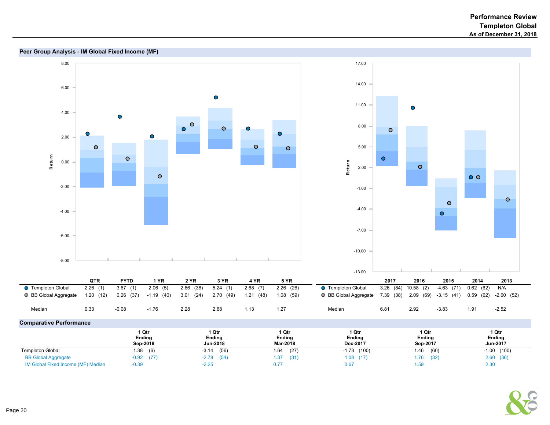

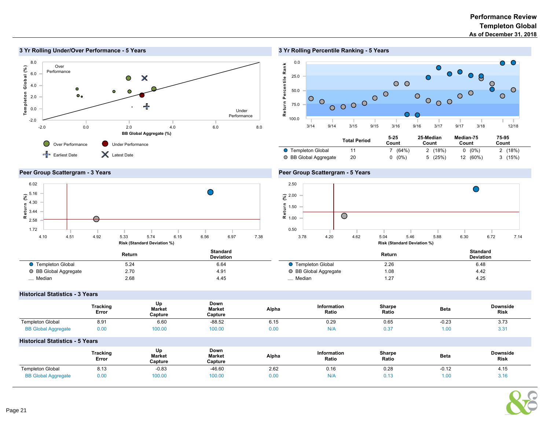

# 3 Yr Rolling Under/Over Performance - 5 Years

# 3 Yr Rolling Percentile Ranking - 5 Years



### Peer Group Scattergram - 3 Years



### Peer Group Scattergram - 5 Years



|                           | Return          | Standard<br><b>Deviation</b> |                         | Return | <b>Standard</b><br><b>Deviation</b> |
|---------------------------|-----------------|------------------------------|-------------------------|--------|-------------------------------------|
| <b>O</b> Templeton Global | $-$ 0.4<br>0.24 | 6.64                         | <b>Templeton Global</b> | 2.26   | 6.48                                |
| ○ BB Global Aggregate     | 2.70            | 4.91                         | ○ BB Global Aggregate   | 1.08   | 4.42                                |
| <sub>__</sub> _ Median    | 2.68            | 4.45                         | _ Median                | 1.27   | 4.25                                |

#### Historical Statistics - 3 Years

|                            | Tracking<br>Error | Up<br>Market<br>Capture | Down<br><b>Market</b><br>Capture | Alpha | Information<br>Ratio | Sharpe<br>Ratio | <b>Beta</b><br>$  -$ | <b>Downside</b><br><b>Risk</b> |
|----------------------------|-------------------|-------------------------|----------------------------------|-------|----------------------|-----------------|----------------------|--------------------------------|
| <b>Templeton Global</b>    | 8.91              | 6.60                    | $-88.52$                         | 6.15  | 0.29                 | 0.65            | $-0.23$              | 3.73                           |
| <b>BB Global Aggregate</b> | 0.00              | 00.00                   | 100.00                           | 0.00  | N/A                  | 0.37            | 1.00                 | ◡.◡                            |

#### Historical Statistics - 5 Years

|                            | <b>Tracking</b><br>Error | Up<br><b>Market</b><br>Capture | Down<br><b>Market</b><br>Capture | Alpha | <b>Information</b><br>Ratio | Sharpe<br>Ratio | <b>Beta</b> | <b>Downside</b><br><b>Risk</b> |
|----------------------------|--------------------------|--------------------------------|----------------------------------|-------|-----------------------------|-----------------|-------------|--------------------------------|
| <b>Templeton Global</b>    | 8.13                     | $-0.83$                        | $-46.60$                         | 2.62  | 0.16                        | 0.28            | $-0.12$     | 4. IL                          |
| <b>BB Global Aggregate</b> | 0.00                     | 100.00                         | 100.00                           | 0.00  | N/A                         | 0.13            | 1.00        | J. IG                          |



 $\overline{a}$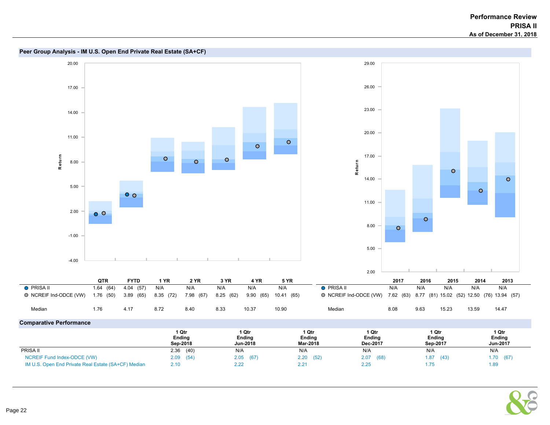

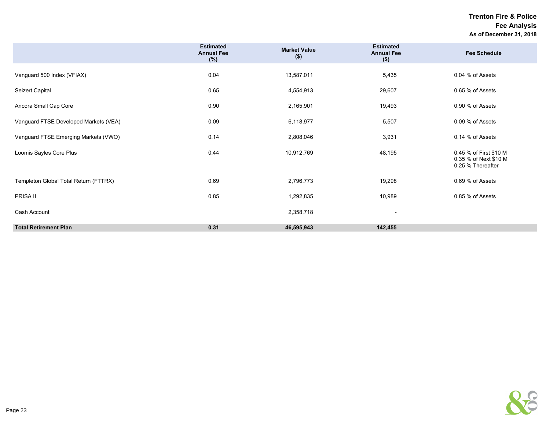Trenton Fire & Police Fee Analysis As of December 31, 2018

|                                       | <b>Estimated</b><br><b>Annual Fee</b><br>(%) | <b>Market Value</b><br>$($ \$) | <b>Estimated</b><br><b>Annual Fee</b><br>$($ \$) | <b>Fee Schedule</b>                                                  |
|---------------------------------------|----------------------------------------------|--------------------------------|--------------------------------------------------|----------------------------------------------------------------------|
| Vanguard 500 Index (VFIAX)            | 0.04                                         | 13,587,011                     | 5,435                                            | 0.04 % of Assets                                                     |
| Seizert Capital                       | 0.65                                         | 4,554,913                      | 29,607                                           | 0.65 % of Assets                                                     |
| Ancora Small Cap Core                 | 0.90                                         | 2,165,901                      | 19,493                                           | 0.90 % of Assets                                                     |
| Vanguard FTSE Developed Markets (VEA) | 0.09                                         | 6,118,977                      | 5,507                                            | 0.09 % of Assets                                                     |
| Vanguard FTSE Emerging Markets (VWO)  | 0.14                                         | 2,808,046                      | 3,931                                            | 0.14 % of Assets                                                     |
| Loomis Sayles Core Plus               | 0.44                                         | 10,912,769                     | 48,195                                           | 0.45 % of First \$10 M<br>0.35 % of Next \$10 M<br>0.25 % Thereafter |
| Templeton Global Total Return (FTTRX) | 0.69                                         | 2,796,773                      | 19,298                                           | 0.69 % of Assets                                                     |
| PRISA II                              | 0.85                                         | 1,292,835                      | 10,989                                           | 0.85 % of Assets                                                     |
| Cash Account                          |                                              | 2,358,718                      |                                                  |                                                                      |
| <b>Total Retirement Plan</b>          | 0.31                                         | 46,595,943                     | 142,455                                          |                                                                      |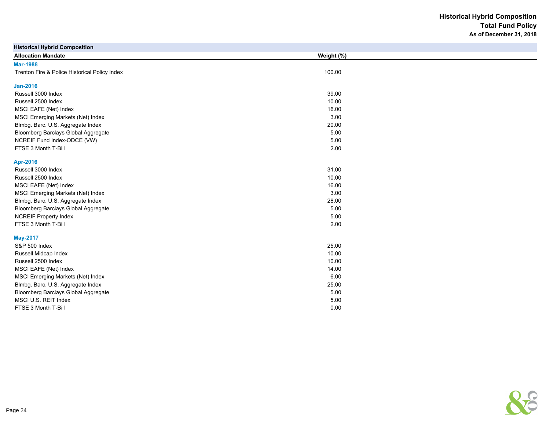Historical Hybrid Composition Total Fund Policy As of December 31, 2018

| <b>Historical Hybrid Composition</b>          |            |  |
|-----------------------------------------------|------------|--|
| <b>Allocation Mandate</b>                     | Weight (%) |  |
| <b>Mar-1988</b>                               |            |  |
| Trenton Fire & Police Historical Policy Index | 100.00     |  |
|                                               |            |  |
| <b>Jan-2016</b>                               |            |  |
| Russell 3000 Index                            | 39.00      |  |
| Russell 2500 Index                            | 10.00      |  |
| MSCI EAFE (Net) Index                         | 16.00      |  |
| MSCI Emerging Markets (Net) Index             | 3.00       |  |
| Blmbg. Barc. U.S. Aggregate Index             | 20.00      |  |
| Bloomberg Barclays Global Aggregate           | 5.00       |  |
| NCREIF Fund Index-ODCE (VW)                   | 5.00       |  |
| FTSE 3 Month T-Bill                           | 2.00       |  |
| Apr-2016                                      |            |  |
| Russell 3000 Index                            | 31.00      |  |
| Russell 2500 Index                            | 10.00      |  |
| MSCI EAFE (Net) Index                         | 16.00      |  |
| MSCI Emerging Markets (Net) Index             | 3.00       |  |
| Blmbg. Barc. U.S. Aggregate Index             | 28.00      |  |
| Bloomberg Barclays Global Aggregate           | 5.00       |  |
| <b>NCREIF Property Index</b>                  | 5.00       |  |
| FTSE 3 Month T-Bill                           | 2.00       |  |
| <b>May-2017</b>                               |            |  |
| S&P 500 Index                                 | 25.00      |  |
| Russell Midcap Index                          | 10.00      |  |
| Russell 2500 Index                            | 10.00      |  |
| MSCI EAFE (Net) Index                         | 14.00      |  |
| MSCI Emerging Markets (Net) Index             | 6.00       |  |
| Blmbg. Barc. U.S. Aggregate Index             | 25.00      |  |
| Bloomberg Barclays Global Aggregate           | 5.00       |  |
| MSCI U.S. REIT Index                          | 5.00       |  |
| FTSE 3 Month T-Bill                           | 0.00       |  |

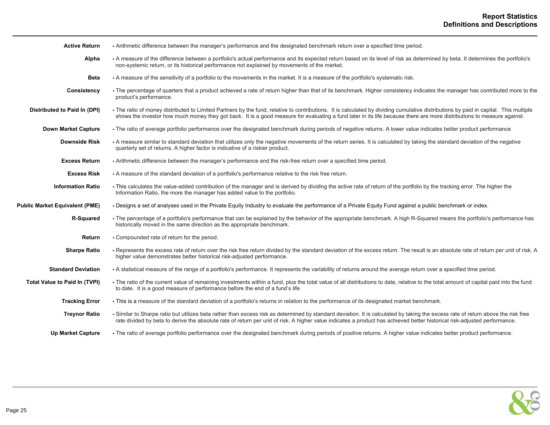| <b>Active Return</b>                  | - Arithmetic difference between the manager's performance and the designated benchmark return over a specified time period.                                                                                                                                                                                                                                    |
|---------------------------------------|----------------------------------------------------------------------------------------------------------------------------------------------------------------------------------------------------------------------------------------------------------------------------------------------------------------------------------------------------------------|
| Alpha                                 | - A measure of the difference between a portfolio's actual performance and its expected return based on its level of risk as determined by beta. It determines the portfolio's<br>non-systemic return, or its historical performance not explained by movements of the market.                                                                                 |
| <b>Beta</b>                           | - A measure of the sensitivity of a portfolio to the movements in the market. It is a measure of the portfolio's systematic risk.                                                                                                                                                                                                                              |
| Consistency                           | - The percentage of quarters that a product achieved a rate of return higher than that of its benchmark. Higher consistency indicates the manager has contributed more to the<br>product's performance.                                                                                                                                                        |
| Distributed to Paid In (DPI)          | - The ratio of money distributed to Limited Partners by the fund, relative to contributions. It is calculated by dividing cumulative distributions by paid in capital. This multiple<br>shows the investor how much money they got back. It is a good measure for evaluating a fund later in its life because there are more distributions to measure against. |
| <b>Down Market Capture</b>            | - The ratio of average portfolio performance over the designated benchmark during periods of negative returns. A lower value indicates better product performance                                                                                                                                                                                              |
| <b>Downside Risk</b>                  | - A measure similar to standard deviation that utilizes only the negative movements of the return series. It is calculated by taking the standard deviation of the negative<br>quarterly set of returns. A higher factor is indicative of a riskier product.                                                                                                   |
| <b>Excess Return</b>                  | - Arithmetic difference between the manager's performance and the risk-free return over a specified time period.                                                                                                                                                                                                                                               |
| <b>Excess Risk</b>                    | - A measure of the standard deviation of a portfolio's performance relative to the risk free return.                                                                                                                                                                                                                                                           |
| <b>Information Ratio</b>              | - This calculates the value-added contribution of the manager and is derived by dividing the active rate of return of the portfolio by the tracking error. The higher the<br>Information Ratio, the more the manager has added value to the portfolio.                                                                                                         |
| <b>Public Market Equivalent (PME)</b> | - Designs a set of analyses used in the Private Equity Industry to evaluate the performance of a Private Equity Fund against a public benchmark or index.                                                                                                                                                                                                      |
| R-Squared                             | - The percentage of a portfolio's performance that can be explained by the behavior of the appropriate benchmark. A high R-Squared means the portfolio's performance has<br>historically moved in the same direction as the appropriate benchmark.                                                                                                             |
| Return                                | - Compounded rate of return for the period.                                                                                                                                                                                                                                                                                                                    |
| <b>Sharpe Ratio</b>                   | - Represents the excess rate of return over the risk free return divided by the standard deviation of the excess return. The result is an absolute rate of return per unit of risk. A<br>higher value demonstrates better historical risk-adjusted performance.                                                                                                |
| <b>Standard Deviation</b>             | - A statistical measure of the range of a portfolio's performance. It represents the variability of returns around the average return over a specified time period.                                                                                                                                                                                            |
| <b>Total Value to Paid In (TVPI)</b>  | - The ratio of the current value of remaining investments within a fund, plus the total value of all distributions to date, relative to the total amount of capital paid into the fund<br>to date. It is a good measure of performance before the end of a fund's life                                                                                         |
| <b>Tracking Error</b>                 | - This is a measure of the standard deviation of a portfolio's returns in relation to the performance of its designated market benchmark.                                                                                                                                                                                                                      |
| <b>Treynor Ratio</b>                  | - Similar to Sharpe ratio but utilizes beta rather than excess risk as determined by standard deviation. It is calculated by taking the excess rate of return above the risk free<br>rate divided by beta to derive the absolute rate of return per unit of risk. A higher value indicates a product has achieved better historical risk-adjusted performance. |
| <b>Up Market Capture</b>              | - The ratio of average portfolio performance over the designated benchmark during periods of positive returns. A higher value indicates better product performance.                                                                                                                                                                                            |

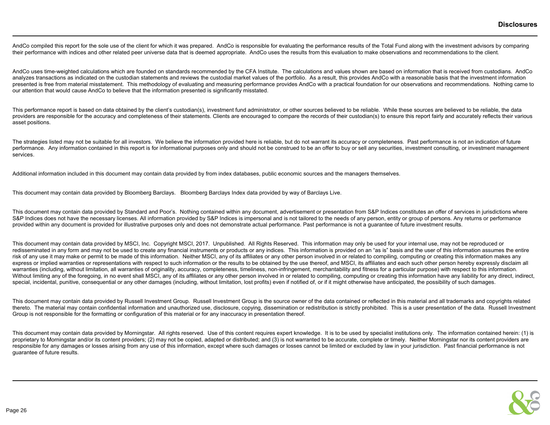AndCo compiled this report for the sole use of the client for which it was prepared. AndCo is responsible for evaluating the performance results of the Total Fund along with the investment advisors by comparing their performance with indices and other related peer universe data that is deemed appropriate. AndCo uses the results from this evaluation to make observations and recommendations to the client.

AndCo uses time-weighted calculations which are founded on standards recommended by the CFA Institute. The calculations and values shown are based on information that is received from custodians. AndCo analyzes transactions as indicated on the custodian statements and reviews the custodial market values of the portfolio. As a result, this provides AndCo with a reasonable basis that the investment information presented is free from material misstatement. This methodology of evaluating and measuring performance provides AndCo with a practical foundation for our observations and recommendations. Nothing came to our attention that would cause AndCo to believe that the information presented is significantly misstated.

This performance report is based on data obtained by the client's custodian(s), investment fund administrator, or other sources believed to be reliable. While these sources are believed to be reliable, the data providers are responsible for the accuracy and completeness of their statements. Clients are encouraged to compare the records of their custodian(s) to ensure this report fairly and accurately reflects their various asset positions.

The strategies listed may not be suitable for all investors. We believe the information provided here is reliable, but do not warrant its accuracy or completeness. Past performance is not an indication of future performance. Any information contained in this report is for informational purposes only and should not be construed to be an offer to buy or sell any securities, investment consulting, or investment management services.

Additional information included in this document may contain data provided by from index databases, public economic sources and the managers themselves.

This document may contain data provided by Bloomberg Barclays. Bloomberg Barclays Index data provided by way of Barclays Live.

This document may contain data provided by Standard and Poor's. Nothing contained within any document, advertisement or presentation from S&P Indices constitutes an offer of services in jurisdictions where S&P Indices does not have the necessary licenses. All information provided by S&P Indices is impersonal and is not tailored to the needs of any person, entity or group of persons. Any returns or performance provided within any document is provided for illustrative purposes only and does not demonstrate actual performance. Past performance is not a quarantee of future investment results.

This document may contain data provided by MSCI, Inc. Copyright MSCI, 2017. Unpublished. All Rights Reserved. This information may only be used for your internal use, may not be reproduced or redisseminated in any form and may not be used to create any financial instruments or products or any indices. This information is provided on an "as is" basis and the user of this information assumes the entire risk of any use it may make or permit to be made of this information. Neither MSCI, any of its affiliates or any other person involved in or related to compiling, computing or creating this information makes any express or implied warranties or representations with respect to such information or the results to be obtained by the use thereof, and MSCI, its affiliates and each such other person hereby expressly disclaim all warranties (including, without limitation, all warranties of originality, accuracy, completeness, timeliness, non-infringement, merchantability and fitness for a particular purpose) with respect to this information. Without limiting any of the foregoing, in no event shall MSCI, any of its affiliates or any other person involved in or related to compiling, computing or creating this information have any liability for any direct, indire special, incidental, punitive, consequential or any other damages (including, without limitation, lost profits) even if notified of, or if it might otherwise have anticipated, the possibility of such damages.

This document may contain data provided by Russell Investment Group. Russell Investment Group is the source owner of the data contained or reflected in this material and all trademarks and copyrights related thereto. The material may contain confidential information and unauthorized use, disclosure, copying, dissemination or redistribution is strictly prohibited. This is a user presentation of the data. Russell Investment Group is not responsible for the formatting or configuration of this material or for any inaccuracy in presentation thereof.

This document may contain data provided by Morningstar. All rights reserved. Use of this content requires expert knowledge. It is to be used by specialist institutions only. The information contained herein: (1) is proprietary to Morningstar and/or its content providers; (2) may not be copied, adapted or distributed; and (3) is not warranted to be accurate, complete or timely. Neither Morningstar nor its content providers are responsible for any damages or losses arising from any use of this information, except where such damages or losses cannot be limited or excluded by law in your jurisdiction. Past financial performance is not guarantee of future results.